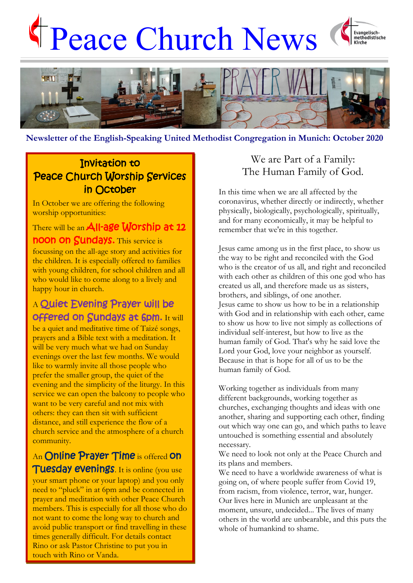# Peace Church News





## **Newsletter of the English-Speaking United Methodist Congregation in Munich: October 2020**

# Invitation to Peace Church Worship Services in October

In October we are offering the following worship opportunities:

There will be an **All-age Worship at 12** noon on Sundays. This service is focussing on the all-age story and activities for the children. It is especially offered to families with young children, for school children and all who would like to come along to a lively and happy hour in church.

# A Quiet Evening Prayer will be offered on Sundays at 6pm. It will

be a quiet and meditative time of Taizé songs, prayers and a Bible text with a meditation. It will be very much what we had on Sunday evenings over the last few months. We would like to warmly invite all those people who prefer the smaller group, the quiet of the evening and the simplicity of the liturgy. In this service we can open the balcony to people who want to be very careful and not mix with others: they can then sit with sufficient distance, and still experience the flow of a church service and the atmosphere of a church community.

An Online Prayer Time is offered on Tuesday evenings. It is online (you use your smart phone or your laptop) and you only need to "pluck" in at 6pm and be connected in prayer and meditation with other Peace Church members. This is especially for all those who do not want to come the long way to church and avoid public transport or find travelling in these times generally difficult. For details contact Rino or ask Pastor Christine to put you in touch with Rino or Vanda.

## We are Part of a Family: The Human Family of God.

In this time when we are all affected by the coronavirus, whether directly or indirectly, whether physically, biologically, psychologically, spiritually, and for many economically, it may be helpful to remember that we're in this together.

Jesus came among us in the first place, to show us the way to be right and reconciled with the God who is the creator of us all, and right and reconciled with each other as children of this one god who has created us all, and therefore made us as sisters, brothers, and siblings, of one another. Jesus came to show us how to be in a relationship with God and in relationship with each other, came to show us how to live not simply as collections of individual self-interest, but how to live as the human family of God. That's why he said love the Lord your God, love your neighbor as yourself. Because in that is hope for all of us to be the human family of God.

Working together as individuals from many different backgrounds, working together as churches, exchanging thoughts and ideas with one another, sharing and supporting each other, finding out which way one can go, and which paths to leave untouched is something essential and absolutely necessary.

We need to look not only at the Peace Church and its plans and members.

We need to have a worldwide awareness of what is going on, of where people suffer from Covid 19, from racism, from violence, terror, war, hunger. Our lives here in Munich are unpleasant at the moment, unsure, undecided... The lives of many others in the world are unbearable, and this puts the whole of humankind to shame.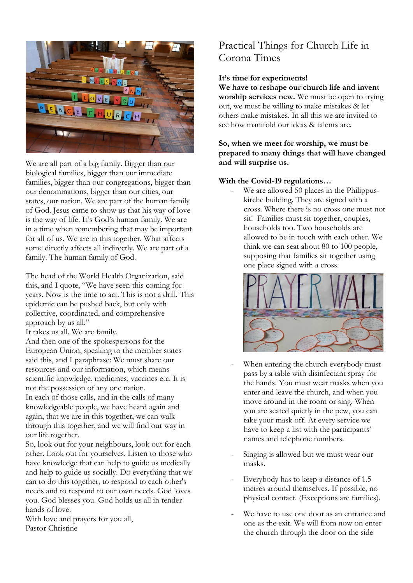

We are all part of a big family. Bigger than our biological families, bigger than our immediate families, bigger than our congregations, bigger than our denominations, bigger than our cities, our states, our nation. We are part of the human family of God. Jesus came to show us that his way of love is the way of life. It's God's human family. We are in a time when remembering that may be important for all of us. We are in this together. What affects some directly affects all indirectly. We are part of a family. The human family of God.

The head of the World Health Organization, said this, and I quote, "We have seen this coming for years. Now is the time to act. This is not a drill. This epidemic can be pushed back, but only with collective, coordinated, and comprehensive approach by us all."

It takes us all. We are family.

And then one of the spokespersons for the European Union, speaking to the member states said this, and I paraphrase: We must share our resources and our information, which means scientific knowledge, medicines, vaccines etc. It is not the possession of any one nation.

In each of those calls, and in the calls of many knowledgeable people, we have heard again and again, that we are in this together, we can walk through this together, and we will find our way in our life together.

So, look out for your neighbours, look out for each other. Look out for yourselves. Listen to those who have knowledge that can help to guide us medically and help to guide us socially. Do everything that we can to do this together, to respond to each other's needs and to respond to our own needs. God loves you. God blesses you. God holds us all in tender hands of love.

With love and prayers for you all, Pastor Christine

## Practical Things for Church Life in Corona Times

#### **It's time for experiments!**

**We have to reshape our church life and invent worship services new.** We must be open to trying out, we must be willing to make mistakes & let others make mistakes. In all this we are invited to see how manifold our ideas & talents are.

**So, when we meet for worship, we must be prepared to many things that will have changed and will surprise us.**

#### **With the Covid-19 regulations…**

We are allowed 50 places in the Philippuskirche building. They are signed with a cross. Where there is no cross one must not sit! Families must sit together, couples, households too. Two households are allowed to be in touch with each other. We think we can seat about 80 to 100 people, supposing that families sit together using one place signed with a cross.



- When entering the church everybody must pass by a table with disinfectant spray for the hands. You must wear masks when you enter and leave the church, and when you move around in the room or sing. When you are seated quietly in the pew, you can take your mask off. At every service we have to keep a list with the participants' names and telephone numbers.
- Singing is allowed but we must wear our masks.
- Everybody has to keep a distance of 1.5 metres around themselves. If possible, no physical contact. (Exceptions are families).
- We have to use one door as an entrance and one as the exit. We will from now on enter the church through the door on the side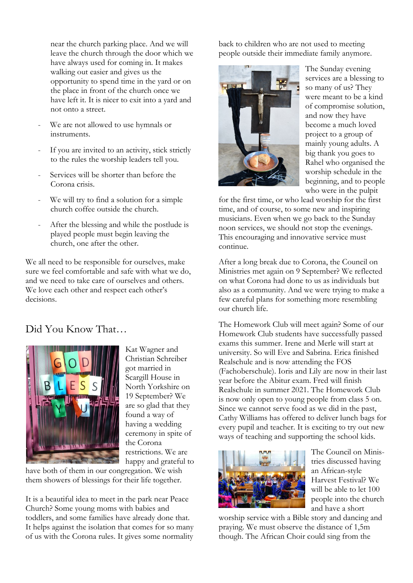near the church parking place. And we will leave the church through the door which we have always used for coming in. It makes walking out easier and gives us the opportunity to spend time in the yard or on the place in front of the church once we have left it. It is nicer to exit into a yard and not onto a street.

- We are not allowed to use hymnals or instruments.
- If you are invited to an activity, stick strictly to the rules the worship leaders tell you.
- Services will be shorter than before the Corona crisis.
- We will try to find a solution for a simple church coffee outside the church.
- After the blessing and while the postlude is played people must begin leaving the church, one after the other.

We all need to be responsible for ourselves, make sure we feel comfortable and safe with what we do, and we need to take care of ourselves and others. We love each other and respect each other's decisions.

## Did You Know That…



Kat Wagner and Christian Schreiber got married in Scargill House in North Yorkshire on 19 September? We are so glad that they found a way of having a wedding ceremony in spite of the Corona restrictions. We are happy and grateful to

have both of them in our congregation. We wish them showers of blessings for their life together.

It is a beautiful idea to meet in the park near Peace Church? Some young moms with babies and toddlers, and some families have already done that. It helps against the isolation that comes for so many of us with the Corona rules. It gives some normality

back to children who are not used to meeting people outside their immediate family anymore.



The Sunday evening services are a blessing to so many of us? They were meant to be a kind of compromise solution, and now they have become a much loved project to a group of mainly young adults. A big thank you goes to Rahel who organised the worship schedule in the beginning, and to people who were in the pulpit

for the first time, or who lead worship for the first time, and of course, to some new and inspiring musicians. Even when we go back to the Sunday noon services, we should not stop the evenings. This encouraging and innovative service must continue.

After a long break due to Corona, the Council on Ministries met again on 9 September? We reflected on what Corona had done to us as individuals but also as a community. And we were trying to make a few careful plans for something more resembling our church life.

The Homework Club will meet again? Some of our Homework Club students have successfully passed exams this summer. Irene and Merle will start at university. So will Eve and Sabrina. Erica finished Realschule and is now attending the FOS (Fachoberschule). Ioris and Lily are now in their last year before the Abitur exam. Fred will finish Realschule in summer 2021. The Homework Club is now only open to young people from class 5 on. Since we cannot serve food as we did in the past, Cathy Williams has offered to deliver lunch bags for every pupil and teacher. It is exciting to try out new ways of teaching and supporting the school kids.



The Council on Ministries discussed having an African-style Harvest Festival? We will be able to let 100 people into the church and have a short

worship service with a Bible story and dancing and praying. We must observe the distance of 1,5m though. The African Choir could sing from the